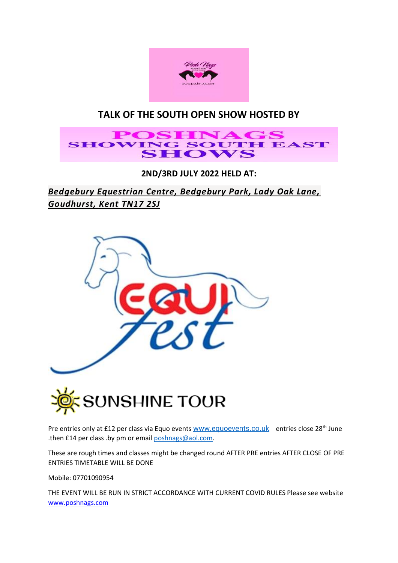

# **TALK OF THE SOUTH OPEN SHOW HOSTED BY**

# **POSHNAGS SHOWING SOUTH EAST SHOWS**

**2ND/3RD JULY 2022 HELD AT:** 

*Bedgebury Equestrian Centre, Bedgebury Park, Lady Oak Lane, Goudhurst, Kent TN17 2SJ*





Pre entries only at £12 per class via Equo events [www.equoevents.co.uk](http://www.equoevents.co.uk/) entries close 28<sup>th</sup> June .then £14 per class .by pm or email [poshnags@aol.com.](mailto:poshnags@aol.com)

These are rough times and classes might be changed round AFTER PRE entries AFTER CLOSE OF PRE ENTRIES TIMETABLE WILL BE DONE

Mobile: 07701090954

THE EVENT WILL BE RUN IN STRICT ACCORDANCE WITH CURRENT COVID RULES Please see website [www.poshnags.com](http://www.poshnags.com/)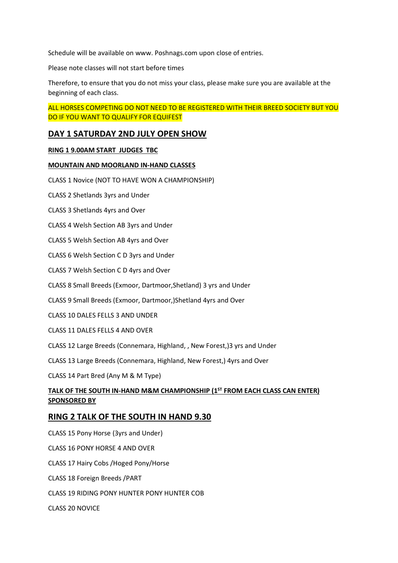Schedule will be available on www. Poshnags.com upon close of entries.

Please note classes will not start before times

Therefore, to ensure that you do not miss your class, please make sure you are available at the beginning of each class.

# ALL HORSES COMPETING DO NOT NEED TO BE REGISTERED WITH THEIR BREED SOCIETY BUT YOU DO IF YOU WANT TO QUALIFY FOR EQUIFEST

# **DAY 1 SATURDAY 2ND JULY OPEN SHOW**

#### **RING 1 9.00AM START JUDGES TBC**

#### **MOUNTAIN AND MOORLAND IN-HAND CLASSES**

CLASS 1 Novice (NOT TO HAVE WON A CHAMPIONSHIP)

CLASS 2 Shetlands 3yrs and Under

CLASS 3 Shetlands 4yrs and Over

CLASS 4 Welsh Section AB 3yrs and Under

CLASS 5 Welsh Section AB 4yrs and Over

CLASS 6 Welsh Section C D 3yrs and Under

CLASS 7 Welsh Section C D 4yrs and Over

CLASS 8 Small Breeds (Exmoor, Dartmoor,Shetland) 3 yrs and Under

CLASS 9 Small Breeds (Exmoor, Dartmoor,)Shetland 4yrs and Over

CLASS 10 DALES FELLS 3 AND UNDER

CLASS 11 DALES FELLS 4 AND OVER

CLASS 12 Large Breeds (Connemara, Highland, , New Forest,)3 yrs and Under

CLASS 13 Large Breeds (Connemara, Highland, New Forest,) 4yrs and Over

CLASS 14 Part Bred (Any M & M Type)

### **TALK OF THE SOUTH IN-HAND M&M CHAMPIONSHIP (1ST FROM EACH CLASS CAN ENTER) SPONSORED BY**

### **RING 2 TALK OF THE SOUTH IN HAND 9.30**

CLASS 15 Pony Horse (3yrs and Under) CLASS 16 PONY HORSE 4 AND OVER CLASS 17 Hairy Cobs /Hoged Pony/Horse CLASS 18 Foreign Breeds /PART CLASS 19 RIDING PONY HUNTER PONY HUNTER COB CLASS 20 NOVICE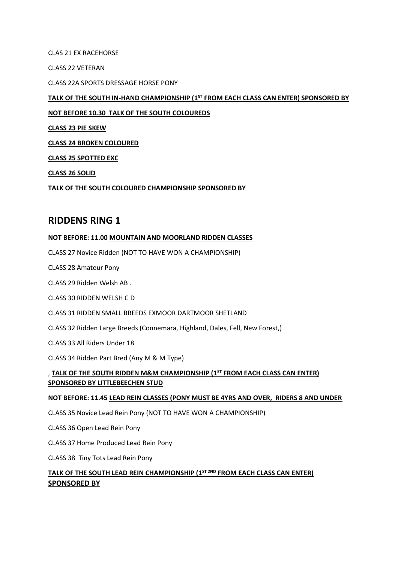CLAS 21 EX RACEHORSE

CLASS 22 VETERAN

CLASS 22A SPORTS DRESSAGE HORSE PONY

## **TALK OF THE SOUTH IN-HAND CHAMPIONSHIP (1ST FROM EACH CLASS CAN ENTER) SPONSORED BY**

### **NOT BEFORE 10.30 TALK OF THE SOUTH COLOUREDS**

**CLASS 23 PIE SKEW**

**CLASS 24 BROKEN COLOURED**

**CLASS 25 SPOTTED EXC**

**CLASS 26 SOLID** 

**TALK OF THE SOUTH COLOURED CHAMPIONSHIP SPONSORED BY**

# **RIDDENS RING 1**

#### **NOT BEFORE: 11.00 MOUNTAIN AND MOORLAND RIDDEN CLASSES**

CLASS 27 Novice Ridden (NOT TO HAVE WON A CHAMPIONSHIP)

CLASS 28 Amateur Pony

CLASS 29 Ridden Welsh AB .

CLASS 30 RIDDEN WELSH C D

CLASS 31 RIDDEN SMALL BREEDS EXMOOR DARTMOOR SHETLAND

CLASS 32 Ridden Large Breeds (Connemara, Highland, Dales, Fell, New Forest,)

CLASS 33 All Riders Under 18

CLASS 34 Ridden Part Bred (Any M & M Type)

### , **TALK OF THE SOUTH RIDDEN M&M CHAMPIONSHIP (1ST FROM EACH CLASS CAN ENTER) SPONSORED BY LITTLEBEECHEN STUD**

#### **NOT BEFORE: 11.45 LEAD REIN CLASSES (PONY MUST BE 4YRS AND OVER, RIDERS 8 AND UNDER**

CLASS 35 Novice Lead Rein Pony (NOT TO HAVE WON A CHAMPIONSHIP)

CLASS 36 Open Lead Rein Pony

CLASS 37 Home Produced Lead Rein Pony

CLASS 38 Tiny Tots Lead Rein Pony

# **TALK OF THE SOUTH LEAD REIN CHAMPIONSHIP (1ST 2ND FROM EACH CLASS CAN ENTER) SPONSORED BY**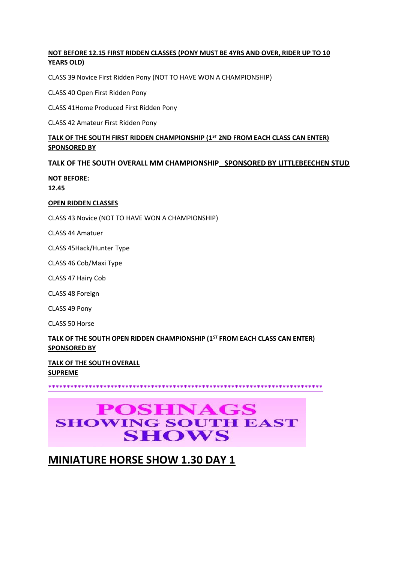## **NOT BEFORE 12.15 FIRST RIDDEN CLASSES (PONY MUST BE 4YRS AND OVER, RIDER UP TO 10 YEARS OLD)**

CLASS 39 Novice First Ridden Pony (NOT TO HAVE WON A CHAMPIONSHIP)

CLASS 40 Open First Ridden Pony

CLASS 41Home Produced First Ridden Pony

CLASS 42 Amateur First Ridden Pony

# **TALK OF THE SOUTH FIRST RIDDEN CHAMPIONSHIP (1ST 2ND FROM EACH CLASS CAN ENTER) SPONSORED BY**

#### **TALK OF THE SOUTH OVERALL MM CHAMPIONSHIP SPONSORED BY LITTLEBEECHEN STUD**

**NOT BEFORE:** 

**12.45** 

#### **OPEN RIDDEN CLASSES**

CLASS 43 Novice (NOT TO HAVE WON A CHAMPIONSHIP)

CLASS 44 Amatuer

CLASS 45Hack/Hunter Type

CLASS 46 Cob/Maxi Type

CLASS 47 Hairy Cob

CLASS 48 Foreign

CLASS 49 Pony

CLASS 50 Horse

# **TALK OF THE SOUTH OPEN RIDDEN CHAMPIONSHIP (1ST FROM EACH CLASS CAN ENTER) SPONSORED BY**

**TALK OF THE SOUTH OVERALL SUPREME** 

**\*\*\*\*\*\*\*\*\*\*\*\*\*\*\*\*\*\*\*\*\*\*\*\*\*\*\*\*\*\*\*\*\*\*\*\*\*\*\*\*\*\*\*\*\*\*\*\*\*\*\*\*\*\*\*\*\*\*\*\*\*\*\*\*\*\*\*\*\*\*\*\*\*\*\***

# **POSHNAGS SHOWING SOUTH EAST SHOWS**

# **MINIATURE HORSE SHOW 1.30 DAY 1**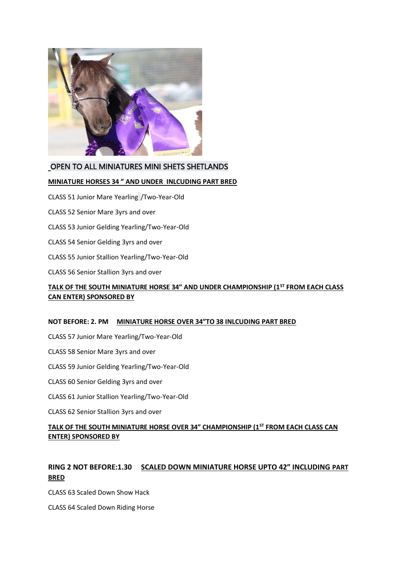

# OPEN TO ALL MINIATURES MINI SHETS SHETLANDS

#### **MINIATURE HORSES 34 " AND UNDER INLCUDING PART BRED**

CLASS 51 Junior Mare Yearling /Two-Year-Old

CLASS 52 Senior Mare 3yrs and over

CLASS 53 Junior Gelding Yearling/Two-Year-Old

- CLASS 54 Senior Gelding 3yrs and over
- CLASS 55 Junior Stallion Yearling/Two-Year-Old
- CLASS 56 Senior Stallion 3yrs and over

# **TALK OF THE SOUTH MINIATURE HORSE 34" AND UNDER CHAMPIONSHIP (1ST FROM EACH CLASS CAN ENTER) SPONSORED BY**

#### **NOT BEFORE: 2. PM MINIATURE HORSE OVER 34"TO 38 INLCUDING PART BRED**

- CLASS 57 Junior Mare Yearling/Two-Year-Old
- CLASS 58 Senior Mare 3yrs and over
- CLASS 59 Junior Gelding Yearling/Two-Year-Old
- CLASS 60 Senior Gelding 3yrs and over
- CLASS 61 Junior Stallion Yearling/Two-Year-Old
- CLASS 62 Senior Stallion 3yrs and over

# **TALK OF THE SOUTH MINIATURE HORSE OVER 34" CHAMPIONSHIP (1ST FROM EACH CLASS CAN ENTER) SPONSORED BY**

# **RING 2 NOT BEFORE:1.30 SCALED DOWN MINIATURE HORSE UPTO 42" INCLUDING PART BRED**

CLASS 63 Scaled Down Show Hack

CLASS 64 Scaled Down Riding Horse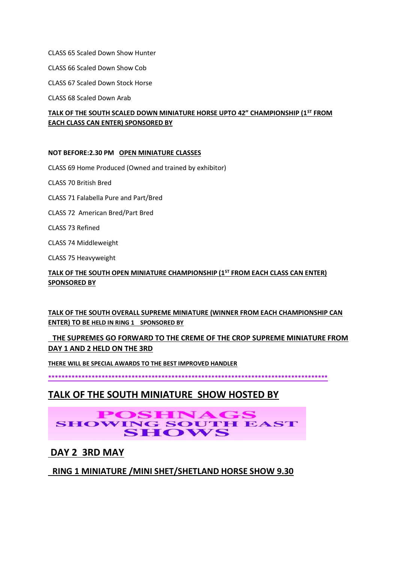CLASS 65 Scaled Down Show Hunter

CLASS 66 Scaled Down Show Cob

CLASS 67 Scaled Down Stock Horse

CLASS 68 Scaled Down Arab

## **TALK OF THE SOUTH SCALED DOWN MINIATURE HORSE UPTO 42" CHAMPIONSHIP (1ST FROM EACH CLASS CAN ENTER) SPONSORED BY**

#### **NOT BEFORE:2.30 PM OPEN MINIATURE CLASSES**

CLASS 69 Home Produced (Owned and trained by exhibitor)

CLASS 70 British Bred

- CLASS 71 Falabella Pure and Part/Bred
- CLASS 72 American Bred/Part Bred
- CLASS 73 Refined
- CLASS 74 Middleweight

CLASS 75 Heavyweight

## **TALK OF THE SOUTH OPEN MINIATURE CHAMPIONSHIP (1ST FROM EACH CLASS CAN ENTER) SPONSORED BY**

# **TALK OF THE SOUTH OVERALL SUPREME MINIATURE (WINNER FROM EACH CHAMPIONSHIP CAN ENTER) TO BE HELD IN RING 1 SPONSORED BY**

# **THE SUPREMES GO FORWARD TO THE CREME OF THE CROP SUPREME MINIATURE FROM DAY 1 AND 2 HELD ON THE 3RD**

**THERE WILL BE SPECIAL AWARDS TO THE BEST IMPROVED HANDLER**

**\*\*\*\*\*\*\*\*\*\*\*\*\*\*\*\*\*\*\*\*\*\*\*\*\*\*\*\*\*\*\*\*\*\*\*\*\*\*\*\*\*\*\*\*\*\*\*\*\*\*\*\*\*\*\*\*\*\*\*\*\*\*\*\*\*\*\*\*\*\*\*\*\*\*\*\*\*\*\*\*\*\*\*\***

# **TALK OF THE SOUTH MINIATURE SHOW HOSTED BY**

# **POSHNAGS SHOWING SOUTH EAST SHOWS**

# **DAY 2 3RD MAY**

# **RING 1 MINIATURE /MINI SHET/SHETLAND HORSE SHOW 9.30**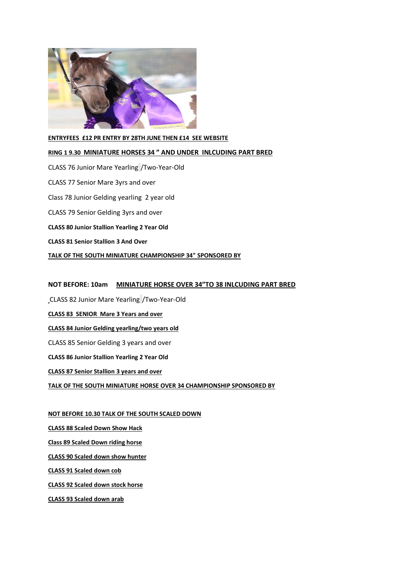

#### **ENTRYFEES £12 PR ENTRY BY 28TH JUNE THEN £14 SEE WEBSITE**

#### **RING 1 9.30 MINIATURE HORSES 34 " AND UNDER INLCUDING PART BRED**

CLASS 76 Junior Mare Yearling /Two-Year-Old CLASS 77 Senior Mare 3yrs and over Class 78 Junior Gelding yearling 2 year old CLASS 79 Senior Gelding 3yrs and over **CLASS 80 Junior Stallion Yearling 2 Year Old CLASS 81 Senior Stallion 3 And Over TALK OF THE SOUTH MINIATURE CHAMPIONSHIP 34" SPONSORED BY**

#### **NOT BEFORE: 10am MINIATURE HORSE OVER 34"TO 38 INLCUDING PART BRED**

CLASS 82 Junior Mare Yearling /Two-Year-Old

**CLASS 83 SENIOR Mare 3 Years and over**

**CLASS 84 Junior Gelding yearling/two years old**

CLASS 85 Senior Gelding 3 years and over

**CLASS 86 Junior Stallion Yearling 2 Year Old**

**CLASS 87 Senior Stallion 3 years and over**

**TALK OF THE SOUTH MINIATURE HORSE OVER 34 CHAMPIONSHIP SPONSORED BY**

#### **NOT BEFORE 10.30 TALK OF THE SOUTH SCALED DOWN**

**CLASS 88 Scaled Down Show Hack**

**Class 89 Scaled Down riding horse**

**CLASS 90 Scaled down show hunter**

**CLASS 91 Scaled down cob**

**CLASS 92 Scaled down stock horse**

**CLASS 93 Scaled down arab**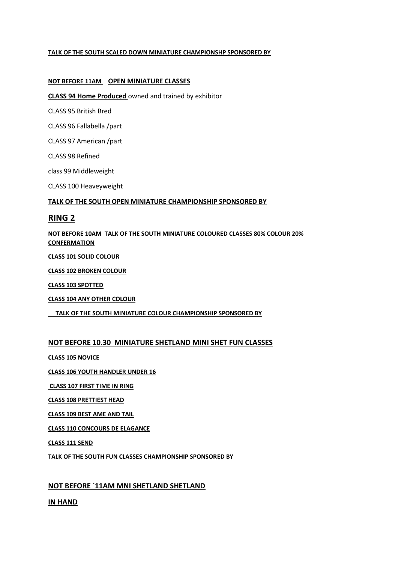#### **TALK OF THE SOUTH SCALED DOWN MINIATURE CHAMPIONSHP SPONSORED BY**

#### **NOT BEFORE 11AM OPEN MINIATURE CLASSES**

**CLASS 94 Home Produced** owned and trained by exhibitor

CLASS 95 British Bred

CLASS 96 Fallabella /part

CLASS 97 American /part

CLASS 98 Refined

class 99 Middleweight

CLASS 100 Heaveyweight

#### **TALK OF THE SOUTH OPEN MINIATURE CHAMPIONSHIP SPONSORED BY**

### **RING 2**

**NOT BEFORE 10AM TALK OF THE SOUTH MINIATURE COLOURED CLASSES 80% COLOUR 20% CONFERMATION**

**CLASS 101 SOLID COLOUR**

**CLASS 102 BROKEN COLOUR**

**CLASS 103 SPOTTED**

**CLASS 104 ANY OTHER COLOUR**

 **TALK OF THE SOUTH MINIATURE COLOUR CHAMPIONSHIP SPONSORED BY** 

#### **NOT BEFORE 10.30 MINIATURE SHETLAND MINI SHET FUN CLASSES**

**CLASS 105 NOVICE**

**CLASS 106 YOUTH HANDLER UNDER 16**

**CLASS 107 FIRST TIME IN RING**

**CLASS 108 PRETTIEST HEAD** 

**CLASS 109 BEST AME AND TAIL**

**CLASS 110 CONCOURS DE ELAGANCE** 

**CLASS 111 SEND**

**TALK OF THE SOUTH FUN CLASSES CHAMPIONSHIP SPONSORED BY**

### **NOT BEFORE `11AM MNI SHETLAND SHETLAND**

**IN HAND**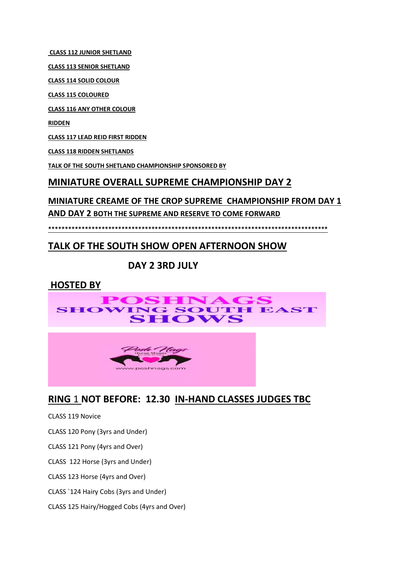**CLASS 112 JUNIOR SHETLAND**

**CLASS 113 SENIOR SHETLAND**

**CLASS 114 SOLID COLOUR**

**CLASS 115 COLOURED**

**CLASS 116 ANY OTHER COLOUR**

**RIDDEN**

**CLASS 117 LEAD REID FIRST RIDDEN** 

**CLASS 118 RIDDEN SHETLANDS**

**TALK OF THE SOUTH SHETLAND CHAMPIONSHIP SPONSORED BY**

# **MINIATURE OVERALL SUPREME CHAMPIONSHIP DAY 2**

**MINIATURE CREAME OF THE CROP SUPREME CHAMPIONSHIP FROM DAY 1** 

**AND DAY 2 BOTH THE SUPREME AND RESERVE TO COME FORWARD**

**\*\*\*\*\*\*\*\*\*\*\*\*\*\*\*\*\*\*\*\*\*\*\*\*\*\*\*\*\*\*\*\*\*\*\*\*\*\*\*\*\*\*\*\*\*\*\*\*\*\*\*\*\*\*\*\*\*\*\*\*\*\*\*\*\*\*\*\*\*\*\*\*\*\*\*\*\*\*\*\*\*\*\*\***

# **TALK OF THE SOUTH SHOW OPEN AFTERNOON SHOW**

# **DAY 2 3RD JULY**

# **HOSTED BY**





# **RING** 1 **NOT BEFORE: 12.30 IN-HAND CLASSES JUDGES TBC**

CLASS 119 Novice

CLASS 120 Pony (3yrs and Under)

CLASS 121 Pony (4yrs and Over)

CLASS 122 Horse (3yrs and Under)

CLASS 123 Horse (4yrs and Over)

CLASS `124 Hairy Cobs (3yrs and Under)

CLASS 125 Hairy/Hogged Cobs (4yrs and Over)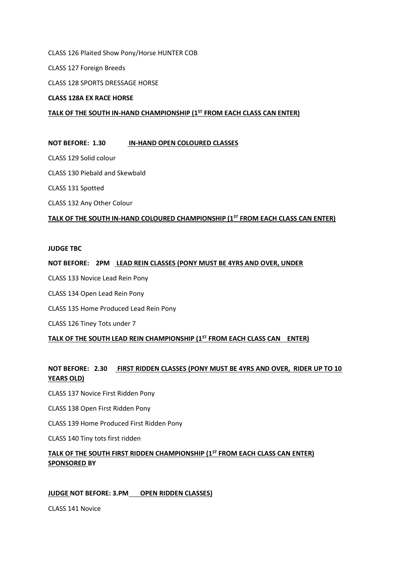CLASS 126 Plaited Show Pony/Horse HUNTER COB

CLASS 127 Foreign Breeds

CLASS 128 SPORTS DRESSAGE HORSE

#### **CLASS 128A EX RACE HORSE**

#### **TALK OF THE SOUTH IN-HAND CHAMPIONSHIP (1ST FROM EACH CLASS CAN ENTER)**

#### **NOT BEFORE: 1.30 IN-HAND OPEN COLOURED CLASSES**

CLASS 129 Solid colour

CLASS 130 Piebald and Skewbald

CLASS 131 Spotted

CLASS 132 Any Other Colour

#### **TALK OF THE SOUTH IN-HAND COLOURED CHAMPIONSHIP (1ST FROM EACH CLASS CAN ENTER)**

#### **JUDGE TBC**

#### **NOT BEFORE: 2PM LEAD REIN CLASSES (PONY MUST BE 4YRS AND OVER, UNDER**

CLASS 133 Novice Lead Rein Pony

- CLASS 134 Open Lead Rein Pony
- CLASS 135 Home Produced Lead Rein Pony

CLASS 126 Tiney Tots under 7

#### **TALK OF THE SOUTH LEAD REIN CHAMPIONSHIP (1ST FROM EACH CLASS CAN ENTER)**

### **NOT BEFORE: 2.30 FIRST RIDDEN CLASSES (PONY MUST BE 4YRS AND OVER, RIDER UP TO 10 YEARS OLD)**

CLASS 137 Novice First Ridden Pony

CLASS 138 Open First Ridden Pony

CLASS 139 Home Produced First Ridden Pony

CLASS 140 Tiny tots first ridden

### **TALK OF THE SOUTH FIRST RIDDEN CHAMPIONSHIP (1ST FROM EACH CLASS CAN ENTER) SPONSORED BY**

#### **JUDGE NOT BEFORE: 3.PM OPEN RIDDEN CLASSES)**

CLASS 141 Novice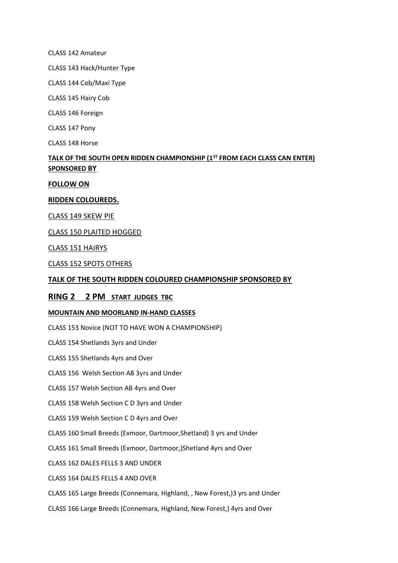CLASS 142 Amateur

CLASS 143 Hack/Hunter Type

CLASS 144 Cob/Maxi Type

CLASS 145 Hairy Cob

CLASS 146 Foreign

CLASS 147 Pony

CLASS 148 Horse

# **TALK OF THE SOUTH OPEN RIDDEN CHAMPIONSHIP (1ST FROM EACH CLASS CAN ENTER) SPONSORED BY**

#### **FOLLOW ON**

#### **RIDDEN COLOUREDS.**

CLASS 149 SKEW PIE

CLASS 150 PLAITED HOGGED

CLASS 151 HAIRYS

CLASS 152 SPOTS OTHERS

#### **TALK OF THE SOUTH RIDDEN COLOURED CHAMPIONSHIP SPONSORED BY**

#### **RING 2 2 PM START JUDGES TBC**

#### **MOUNTAIN AND MOORLAND IN-HAND CLASSES**

CLASS 153 Novice (NOT TO HAVE WON A CHAMPIONSHIP)

CLASS 154 Shetlands 3yrs and Under

CLASS 155 Shetlands 4yrs and Over

CLASS 156 Welsh Section AB 3yrs and Under

CLASS 157 Welsh Section AB 4yrs and Over

CLASS 158 Welsh Section C D 3yrs and Under

CLASS 159 Welsh Section C D 4yrs and Over

CLASS 160 Small Breeds (Exmoor, Dartmoor,Shetland) 3 yrs and Under

CLASS 161 Small Breeds (Exmoor, Dartmoor,)Shetland 4yrs and Over

CLASS 162 DALES FELLS 3 AND UNDER

CLASS 164 DALES FELLS 4 AND OVER

CLASS 165 Large Breeds (Connemara, Highland, , New Forest,)3 yrs and Under

CLASS 166 Large Breeds (Connemara, Highland, New Forest,) 4yrs and Over